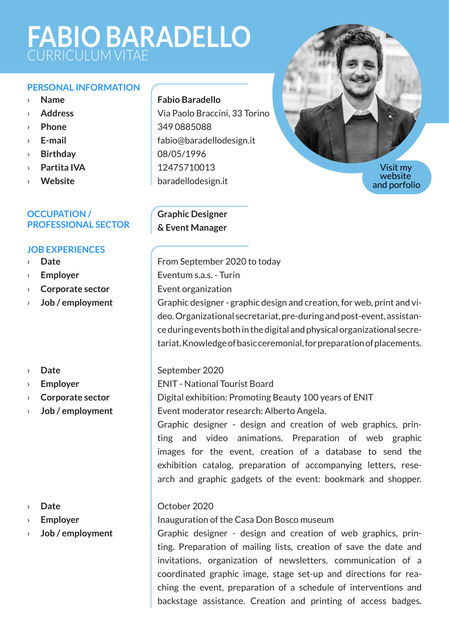# **FABIO BARADELLO** CURRICULUM VITAE

#### **PERSONAL INFORMATION**

- › **Name**
- › **Address**
- › **Phone**
- › **E-mail**
- › **Birthday**
- › **Partita IVA**
- › **Website**

#### **OCCUPATION / PROFESSIONAL SECTOR**

#### **JOB EXPERIENCES**

- › **Date**
- › **Employer**
- › **Corporate sector**
- › **Job / employment**
- › **Date**
- › **Employer**
- › **Corporate sector**
- › **Job / employment**

#### › **Date**

- › **Employer**
- › **Job / employment**

# **Fabio Baradello**

Via Paolo Braccini, 33 Torino 349 0885088 fabio@baradellodesign.it 08/05/1996 12475710013 baradellodesign.it

**Graphic Designer & Event Manager**



From September 2020 to today Eventum s.a.s. - Turin

Event organization

Graphic designer - graphic design and creation, for web, print and video. Organizational secretariat, pre-during and post-event, assistance during events both in the digital and physical organizational secretariat. Knowledge of basic ceremonial, for preparation of placements.

#### September 2020

ENIT - National Tourist Board Digital exhibition: Promoting Beauty 100 years of ENIT

Event moderator research: Alberto Angela.

Graphic designer - design and creation of web graphics, printing and video animations. Preparation of web graphic images for the event, creation of a database to send the exhibition catalog, preparation of accompanying letters, research and graphic gadgets of the event: bookmark and shopper.

#### October 2020

Inauguration of the Casa Don Bosco museum

Graphic designer - design and creation of web graphics, printing. Preparation of mailing lists, creation of save the date and invitations, organization of newsletters, communication of a coordinated graphic image, stage set-up and directions for reaching the event, preparation of a schedule of interventions and backstage assistance. Creation and printing of access badges.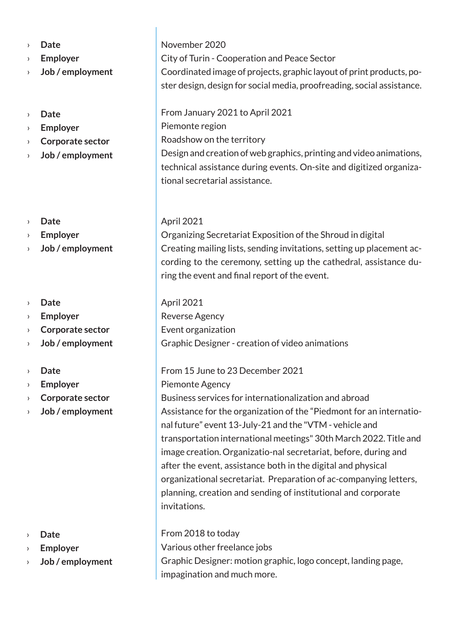- › **Date**
- › **Employer**
- › **Job / employment**
- › **Date**
- › **Employer**
- › **Corporate sector**
- › **Job / employment**
- › **Date**
- › **Employer**
- › **Job / employment**
- › **Date**
- › **Employer**
- › **Corporate sector**
- › **Job / employment**
- › **Date**
- › **Employer**
- › **Corporate sector**
- › **Job / employment**

- › **Date**
- › **Employer**
- › **Job / employment**

November 2020 City of Turin - Cooperation and Peace Sector Coordinated image of projects, graphic layout of print products, poster design, design for social media, proofreading, social assistance.

From January 2021 to April 2021 Piemonte region Roadshow on the territory Design and creation of web graphics, printing and video animations, technical assistance during events. On-site and digitized organizational secretarial assistance.

# April 2021

Organizing Secretariat Exposition of the Shroud in digital Creating mailing lists, sending invitations, setting up placement according to the ceremony, setting up the cathedral, assistance during the event and final report of the event.

# April 2021

Reverse Agency Event organization Graphic Designer - creation of video animations

#### From 15 June to 23 December 2021

Piemonte Agency Business services for internationalization and abroad Assistance for the organization of the "Piedmont for an international future" event 13-July-21 and the "VTM - vehicle and transportation international meetings" 30th March 2022. Title and image creation. Organizatio-nal secretariat, before, during and after the event, assistance both in the digital and physical organizational secretariat. Preparation of ac-companying letters, planning, creation and sending of institutional and corporate invitations.

#### From 2018 to today

Various other freelance jobs Graphic Designer: motion graphic, logo concept, landing page, impagination and much more.